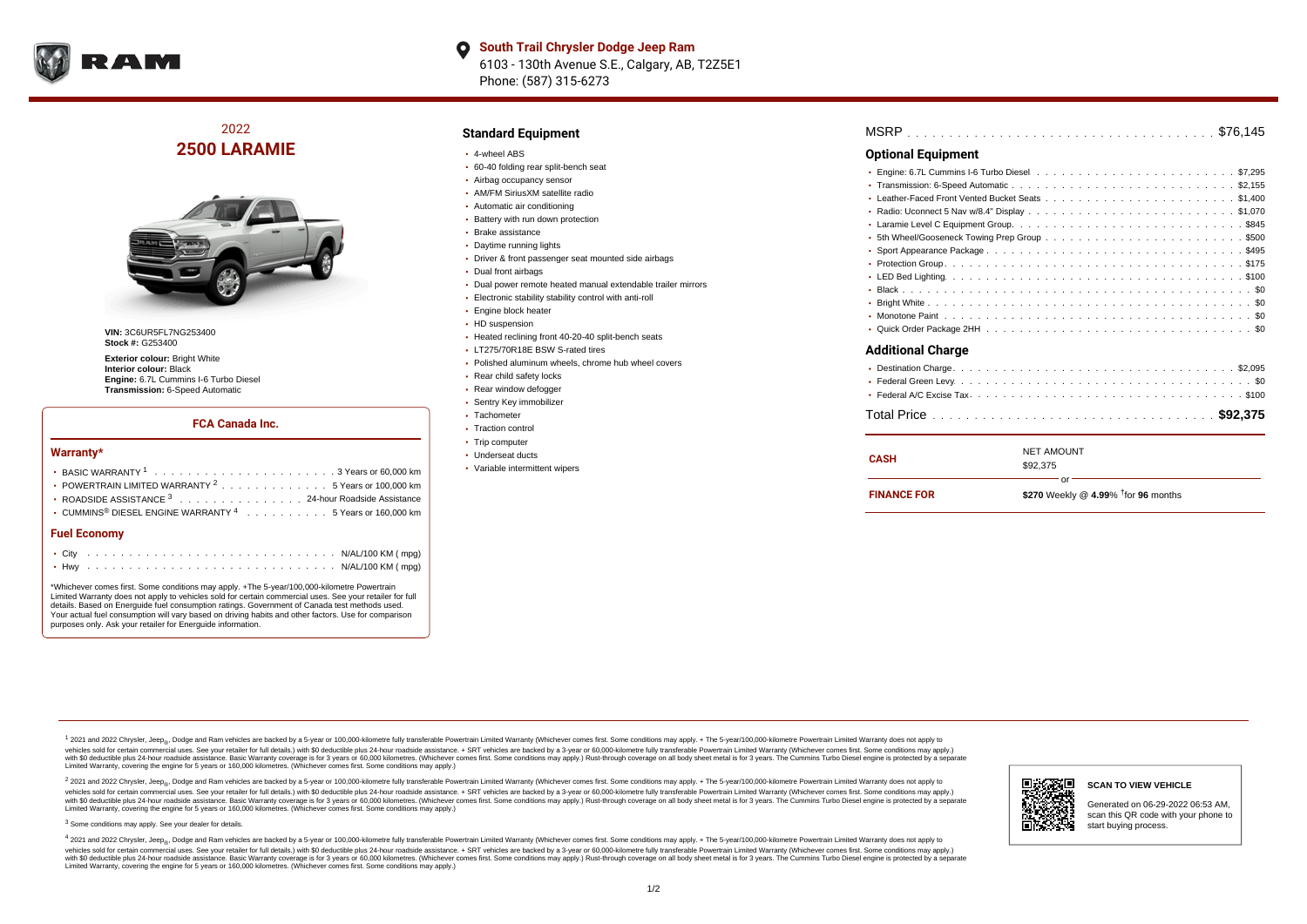

**South Trail Chrysler Dodge Jeep Ram**  $\bullet$ 6103 - 130th Avenue S.E., Calgary, AB, T2Z5E1 Phone: (587) 315-6273

# 2022 **2500 LARAMIE**



**VIN:** 3C6UR5FL7NG253400 **Stock #:** G253400

**Exterior colour: Bright White Interior colour:** Black **Engine:** 6.7L Cummins I-6 Turbo Diesel **Transmission:** 6-Speed Automatic

#### **FCA Canada Inc.**

#### **Warranty\***

| <b>Fuel Economy</b>                                                                    |  |  |
|----------------------------------------------------------------------------------------|--|--|
| $\cdot$ CUMMINS <sup>®</sup> DIESEL ENGINE WARRANTY <sup>4</sup> 5 Years or 160,000 km |  |  |
| ROADSIDE ASSISTANCE 3 24-hour Roadside Assistance                                      |  |  |
| • POWERTRAIN LIMITED WARRANTY <sup>2</sup> 5 Years or 100,000 km                       |  |  |
|                                                                                        |  |  |

\*Whichever comes first. Some conditions may apply. +The 5-year/100,000-kilometre Powertrain Limited Warranty does not apply to vehicles sold for certain commercial uses. See your retailer for full details. Based on Energuide fuel consumption ratings. Government of Canada test methods used. Your actual fuel consumption will vary based on driving habits and other factors. Use for comparison purposes only. Ask your retailer for Energuide information.

#### **Standard Equipment**

- 4-wheel ABS
- 60-40 folding rear split-bench seat
- Airbag occupancy sensor
- AM/FM SiriusXM satellite radio
- Automatic air conditioning
- **Battery with run down protection**
- Brake assistance
- Daytime running lights
- Driver & front passenger seat mounted side airbags
- Dual front airbags
- Dual power remote heated manual extendable trailer mirrors
- Electronic stability stability control with anti-roll
- Engine block heater
- HD suspension
- Heated reclining front 40-20-40 split-bench seats
- LT275/70R18E BSW S-rated tires
- Polished aluminum wheels, chrome hub wheel covers
- Rear child safety locks
- Rear window defogger
- Sentry Key immobilizer
- Tachometer
- Traction control
- Trip computer
- Underseat ducts
- Variable intermittent wipers

| <b>Optional Equipment</b> |                   |    |  |  |
|---------------------------|-------------------|----|--|--|
|                           |                   |    |  |  |
|                           |                   |    |  |  |
|                           |                   |    |  |  |
|                           |                   |    |  |  |
| ٠                         |                   |    |  |  |
| ٠                         |                   |    |  |  |
|                           |                   |    |  |  |
|                           |                   |    |  |  |
|                           |                   |    |  |  |
|                           |                   |    |  |  |
|                           |                   |    |  |  |
|                           |                   |    |  |  |
|                           |                   |    |  |  |
| <b>Additional Charge</b>  |                   |    |  |  |
|                           |                   |    |  |  |
|                           |                   |    |  |  |
|                           |                   |    |  |  |
|                           |                   |    |  |  |
| <b>CASH</b>               | <b>NET AMOUNT</b> |    |  |  |
|                           | \$92,375          | or |  |  |
|                           |                   |    |  |  |

\$270 Weekly @ 4.99% <sup>†</sup> for 96 months **FINANCE FOR**

<sup>1</sup> 2021 and 2022 Chrysler, Jeep<sub>®</sub>, Dodge and Ram vehicles are backed by a 5-year or 100,000-kilometre fully transferable Powertrain Limited Warranty (Whichever comes first. Some conditions may apply. + The 5-year/100,000 vehides sold for certain commercial uses. See your retailer for full details.) with \$0 deductible plus 24-hour roadside assistance. + SRT vehicles are backed by a 3-years or 50,000 kilometres. (Whichever comes first. Some Limited Warranty, covering the engine for 5 years or 160,000 kilometres. (Whichever comes first. Some conditions may apply.)

2 2021 and 2022 Chrysler, Jeep<sub>®</sub>, Dodge and Ram vehicles are backed by a 5-year or 100,000-kilometre fully transferable Powertrain Limited Warranty (Whichever comes first. Some conditions may apply. + The 5-year/100,000-k vehicles sold for certain commercial uses. See your retailer for full details.) with SO deductible plus 24-hour roadside assistance. + SRT vehicles are backed by a 3-year or 60.000-kilometre fully transferable Powertrain. vando concerned a mandato control and the mandato concerned a mandato concerned a mandato concerned a mandato concerned a mandato concerned a mandato concerned as concerned as a subsequent of the concerned as a subsequent Limited Warranty, covering the engine for 5 years or 160,000 kilometres. (Whichever comes first. Some conditions may apply.)

<sup>3</sup> Some conditions may apply. See your dealer for details.

4 2021 and 2022 Chrysler, Jeep<sub>®</sub>, Dodge and Ram vehicles are backed by a 5-year or 100,000-kilometre fully transferable Powertrain Limited Warranty (Whichever comes first. Some conditions may apply. + The 5-year/100,000-k vehicles sold for certain commercial uses. See your retailer for full details.) with \$0 deductible plus 24-hour roadside assistance. + SRT vehicles are backed by a 3-year or 60,000-kilometre fully transferable Powertrain L with \$0 deductible plus 24-hour roadside assistance. Basic Warranty coverage is for 3 years or 60,000 kilometres. (Whichever comes first. Some conditions may apply.) Rust-through coverage on all body sheet metal is for 3 y Limited Warranty, covering the engine for 5 years or 160,000 kilometres. (Whichever comes first. Some conditions may apply.)



scan this QR code with your phone to start buying process.